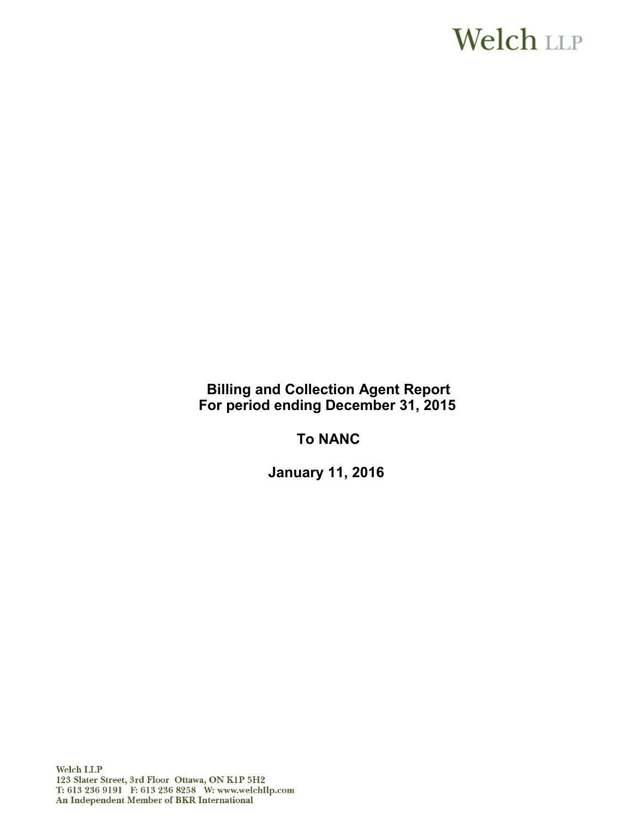# **Welch LLP**

**Billing and Collection Agent Report For period ending December 31, 2015** 

**To NANC**

**January 11, 2016**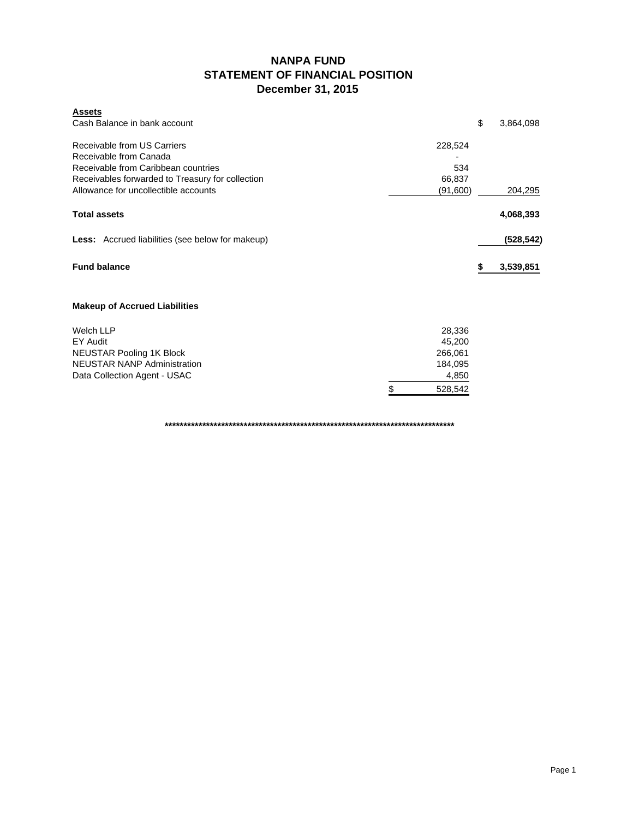### **NANPA FUND STATEMENT OF FINANCIAL POSITION December 31, 2015**

| <b>Assets</b><br>Cash Balance in bank account                                                                                                    |                          | \$<br>3,864,098 |
|--------------------------------------------------------------------------------------------------------------------------------------------------|--------------------------|-----------------|
| Receivable from US Carriers<br>Receivable from Canada<br>Receivable from Caribbean countries<br>Receivables forwarded to Treasury for collection | 228,524<br>534<br>66,837 |                 |
| Allowance for uncollectible accounts                                                                                                             | (91,600)                 | 204,295         |
| <b>Total assets</b>                                                                                                                              |                          | 4,068,393       |
| <b>Less:</b> Accrued liabilities (see below for makeup)                                                                                          |                          | (528, 542)      |
| <b>Fund balance</b>                                                                                                                              |                          | 3,539,851       |
| <b>Makeup of Accrued Liabilities</b>                                                                                                             |                          |                 |
| <b>Welch LLP</b><br>EY Audit                                                                                                                     | 28,336<br>45,200         |                 |
| <b>NEUSTAR Pooling 1K Block</b>                                                                                                                  | 266,061                  |                 |
| <b>NEUSTAR NANP Administration</b>                                                                                                               | 184,095                  |                 |
| Data Collection Agent - USAC                                                                                                                     | 4,850                    |                 |
|                                                                                                                                                  | \$<br>528,542            |                 |

**\*\*\*\*\*\*\*\*\*\*\*\*\*\*\*\*\*\*\*\*\*\*\*\*\*\*\*\*\*\*\*\*\*\*\*\*\*\*\*\*\*\*\*\*\*\*\*\*\*\*\*\*\*\*\*\*\*\*\*\*\*\*\*\*\*\*\*\*\*\*\*\*\*\*\*\*\***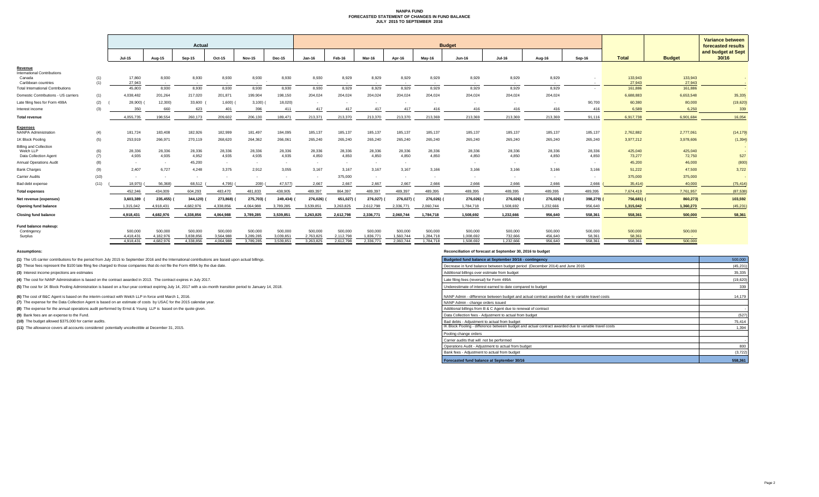#### **NANPA FUND FORECASTED STATEMENT OF CHANGES IN FUND BALANCE JULY 2015 TO SEPTEMBER 2016**

|                                                                     |            | Actual                 |                        |                        |                        |                        |                        | <b>Budget</b>            |                        |                        |                        |                        |                        |                      |                    |                   |                   |                                          | <b>Variance between</b> |
|---------------------------------------------------------------------|------------|------------------------|------------------------|------------------------|------------------------|------------------------|------------------------|--------------------------|------------------------|------------------------|------------------------|------------------------|------------------------|----------------------|--------------------|-------------------|-------------------|------------------------------------------|-------------------------|
|                                                                     |            |                        |                        |                        |                        |                        |                        |                          |                        |                        |                        |                        |                        |                      |                    |                   |                   | forecasted results<br>and budget at Sept |                         |
|                                                                     |            | <b>Jul-15</b>          | Aug-15                 | Sep-15                 | Oct-15                 | <b>Nov-15</b>          | <b>Dec-15</b>          | <b>Jan-16</b>            | Feb-16                 | Mar-16                 | Apr-16                 | Mav-16                 | <b>Jun-16</b>          | <b>Jul-16</b>        | Aug-16             | Sep-16            | <b>Total</b>      | <b>Budget</b>                            | 30/16                   |
| Revenue<br><b>International Contributions</b>                       |            |                        |                        |                        |                        |                        |                        |                          |                        |                        |                        |                        |                        |                      |                    |                   |                   |                                          |                         |
| Canada<br>Caribbean countries                                       | (1)<br>(1) | 17,860<br>27,943       | 8,930<br>$\sim$        | 8,930<br>$\sim$ $-$    | 8,930<br>$\sim$ $-$    | 8,930<br>$\sim$        | 8,930                  | 8,930<br>$\sim$          | 8,929<br>$\sim$        | 8,929<br>$\sim$        | 8,929<br>$\sim$        | 8,929<br>$\sim$ $-$    | 8,929<br>$\sim$ $-$    | 8,929<br>$\sim 100$  | 8,929<br>$\sim$    | $\sim$            | 133,943<br>27,943 | 133,943<br>27,943                        | <b>STAR</b>             |
| <b>Total International Contributions</b>                            |            | 45,803                 | 8,930                  | 8,930                  | 8,930                  | 8,930                  | 8,930                  | 8,930                    | 8,929                  | 8,929                  | 8,929                  | 8,929                  | 8,929                  | 8,929                | 8,929              | $\sim$            | 161,886           | 161,886                                  | $\sim$                  |
| Domestic Contributions - US carriers                                | (1)        | 4,038,482              | 201,264                | 217,020                | 201,871                | 199,904                | 198,150                | 204,024                  | 204,024                | 204,024                | 204,024                | 204,024                | 204,024                | 204,024              | 204,024            |                   | 6,688,883         | 6,653,548                                | 35,335                  |
| Late filing fees for Form 499A                                      | (2)        | 28,900)                | 12,300)                | 33,600                 | 1,600                  | 3,100                  | 18,020)                |                          |                        | $\sim$                 |                        |                        |                        |                      |                    | 90,700            | 60,380            | 80,000                                   | (19,620)                |
| Interest income                                                     | (3)        | 350                    | 660                    | 623                    | 401                    | 396                    | 411                    | 417                      | 417                    | 417                    | 417                    | 416                    | 416                    | 416                  | 416                | 416               | 6,589             | 6.250                                    | 339                     |
| <b>Total revenue</b>                                                |            | 4.055.735              | 198,554                | 260.173                | 209.602                | 206,130                | 189.471                | 213,371                  | 213,370                | 213,370                | 213,370                | 213.369                | 213,369                | 213.369              | 213,369            | 91.116            | 6.917.738         | 6.901.684                                | 16,054                  |
| <b>Expenses</b><br><b>NANPA Administration</b>                      |            | 181,724                | 183,408                | 182,926                | 182,999                | 181,497                | 184,095                | 185,137                  | 185,137                | 185,137                | 185,137                | 185,137                | 185,137                | 185,137              | 185,137            | 185,137           | 2,762,882         | 2,777,061                                |                         |
| 1K Block Pooling                                                    | (4)        | 253,919                | 266,971                | 270,119                | 268,620                | 264,362                | 266,061                | 265,240                  | 265,240                | 265,240                | 265,240                | 265,240                | 265,240                | 265,240              | 265,240            | 265,240           | 3,977,212         | 3,978,606                                | (14, 179)               |
|                                                                     | (5)        |                        |                        |                        |                        |                        |                        |                          |                        |                        |                        |                        |                        |                      |                    |                   |                   |                                          | (1, 394)                |
| <b>Billing and Collection</b><br>Welch LLP<br>Data Collection Agent | (6)<br>(7) | 28,336<br>4.935        | 28,336<br>4,935        | 28,336<br>4,952        | 28,336<br>4,935        | 28,336<br>4,935        | 28,336<br>4,935        | 28,336<br>4,850          | 28,336<br>4,850        | 28,336<br>4,850        | 28,336<br>4,850        | 28,336<br>4.850        | 28,336<br>4,850        | 28,336<br>4.850      | 28,336<br>4.850    | 28,336<br>4,850   | 425,040<br>73,277 | 425,040<br>72,750                        | 527                     |
| <b>Annual Operations Audit</b>                                      | (8)        | $\sim$                 | $\sim$                 | 45,200                 | $\sim$ $-$             | $\sim$ $-$             | $\sim$                 | $\sim$ $-$               | $\sim$ $-$             | $\sim$                 | $\sim$                 |                        | $\sim$                 | $\sim$               | $\sim$             | $\sim$            | 45,200            | 46,000                                   | (800)                   |
| <b>Bank Charges</b>                                                 | (9)        | 2.407                  | 6,727                  | 4,248                  | 3.375                  | 2,912                  | 3.055                  | 3.167                    | 3.167                  | 3,167                  | 3.167                  | 3.166                  | 3.166                  | 3.166                | 3.166              | 3.166             | 51,222            | 47,500                                   | 3,722                   |
| Carrier Audits                                                      | (10)       | $\sim$                 | $\sim$                 | $\sim$                 | $\sim$                 | $\sim$                 | $\sim$                 | $\overline{\phantom{a}}$ | 375,000                | $\sim$                 | $\sim$                 |                        |                        |                      |                    |                   | 375,000           | 375,000                                  |                         |
| Bad debt expense                                                    | (11)       | 18.975)                | 56,368)                | 68,512                 | 4,795)                 | 209)                   | 47,577                 | 2,667                    | 2,667                  | 2,667                  | 2,667                  | 2,666                  | 2,666                  | 2,666                | 2,666              | 2,666             | 35,414)           | 40,000                                   | (75, 414)               |
| <b>Total expenses</b>                                               |            | 452,346                | 434,009                | 604,293                | 483,470                | 481,833                | 438,905                | 489,397                  | 864,397                | 489,397                | 489,397                | 489,395                | 489,395                | 489,395              | 489,395            | 489,395           | 7.674.419         | 7,761,957                                | (87, 538)               |
| Net revenue (expenses)                                              |            | 3,603,389              | 235,455)               | 344,120)               | 273,868)               | 275,703)               | 249,434)               | 276,026)                 | 651,027)               | 276,027)               | 276,027)               | 276,026)               | 276,026) (             | 276,026)             | 276,026) (         | 398,279) (        | 756,681)          | 860,273)                                 | 103,592                 |
| <b>Opening fund balance</b>                                         |            | 1,315,042              | 4,918,431              | 4.682.976              | 4.338.856              | 4.064.988              | 3,789,285              | 3,539,851                | 3,263,825              | 2,612,798              | 2,336,771              | 2,060,744              | 1,784,718              | 1,508,692            | 1,232,666          | 956,640           | 1,315,042         | 1,360,273                                | (45, 231)               |
| <b>Closing fund balance</b>                                         |            | 4,918,431              | 4,682,976              | 4.338.856              | 4,064,988              | 3,789,285              | 3,539,851              | 3,263,825                | 2,612,798              | 2,336,771              | 2,060,744              | 1,784,718              | 1.508.692              | 1,232,666            | 956,640            | 558,361           | 558,361           | 500,000                                  | 58,361                  |
| Fund balance makeup:                                                |            |                        |                        |                        |                        |                        |                        |                          |                        |                        |                        |                        |                        |                      |                    |                   |                   |                                          |                         |
| Contingency                                                         |            | 500,000                | 500,000                | 500,000                | 500,000                | 500,000                | 500,000                | 500,000                  | 500,000                | 500,000                | 500,000                | 500,000                | 500,000                | 500,000              | 500,000            | 500,000           | 500,000           | 500,000                                  |                         |
| Surplus                                                             |            | 4.418.431<br>4.918.431 | 4.182.976<br>4.682.976 | 3.838.856<br>4.338.856 | 3.564.988<br>4.064.988 | 3.289.285<br>3.789.285 | 3.039.851<br>3.539.851 | 2.763.825<br>3.263.825   | 2,112,798<br>2.612.798 | 1.836.771<br>2.336.771 | 1.560.744<br>2.060.744 | 1.284.718<br>1.784.718 | 1.008.692<br>1.508.692 | 732.666<br>1.232.666 | 456,640<br>956,640 | 58,361<br>558.361 | 58.361<br>558.361 | 500,000                                  |                         |

**(1)** The US carrier contributions for the period from July 2015 to September 2016 and the International contributions are based upon actual billings.

(2) These fees represent the \$100 late filing fee charged to those companies that do not file the Form 499A by the due date.

**(3)** Interest income projections are estimates

**(4)** The cost for NANP Administration is based on the contract awarded in 2013. The contract expires in July 2017.

(5) The cost for 1K Block Pooling Administration is based on a four-year contract expiring July 14, 2017 with a six-month transition period to January 14, 2018.

**(6)** The cost of B&C Agent is based on the interim contract with Welch LLP in force until March 1, 2016.

**(7)** The expense for the Data Collection Agent is based on an estimate of costs by USAC for the 2015 calendar year.

**(8)** The expense for the annual operations audit performed by Ernst & Young LLP is based on the quote given.

**(9)** Bank fees are an expense to the Fund.

**(10)** The budget allowed \$375,000 for carrier audits.

**(11)** The allowance covers all accounts considered potentially uncollectible at December 31, 2015.

**Assumptions: Reconciliation of forecast at September 30, 2016 to budget**

| Budgeted fund balance at September 30/16 - contingency                                                | 500,000   |
|-------------------------------------------------------------------------------------------------------|-----------|
| Decrease in fund balance between budget period (December 2014) and June 2015                          | (45, 231) |
| Additional billings over estimate from budget                                                         | 35.335    |
| Late filing fees (reversal) for Form 499A                                                             | (19,620)  |
| Underestimate of interest earned to date compared to budget                                           | 339       |
| NANP Admin - difference between budget and actual contract awarded due to variable travel costs       | 14.179    |
| NANP Admin - change orders issued                                                                     |           |
| Additional billings from B & C Agent due to renewal of contract                                       |           |
| Data Collection fees - Adjustment to actual from budget                                               | (527)     |
| Bad debts - Adjustment to actual from budget                                                          | 75.414    |
| IK Block Pooling - difference between budget and actual contract awarded due to variable travel costs | 1.394     |
| Pooling change orders                                                                                 |           |
| Carrier audits that will not be performed                                                             |           |
| Operations Audit - Adjustment to actual from budget                                                   | 800       |
| Bank fees - Adjustment to actual from budget                                                          | (3, 722)  |
| Forecasted fund balance at September 30/16                                                            | 558.361   |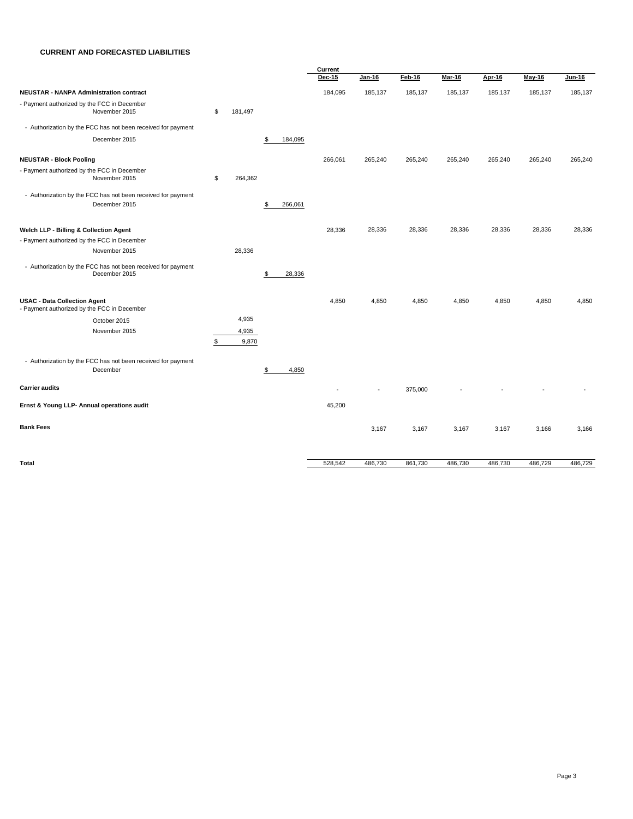#### **CURRENT AND FORECASTED LIABILITIES**

|                                                                                    |               |               | Current |         |         |         |         |         |         |  |
|------------------------------------------------------------------------------------|---------------|---------------|---------|---------|---------|---------|---------|---------|---------|--|
|                                                                                    |               |               | Dec-15  | Jan-16  | Feb-16  | Mar-16  | Apr-16  | May-16  | Jun-16  |  |
| <b>NEUSTAR - NANPA Administration contract</b>                                     |               |               | 184,095 | 185,137 | 185,137 | 185,137 | 185,137 | 185,137 | 185,137 |  |
| - Payment authorized by the FCC in December<br>November 2015                       | \$<br>181,497 |               |         |         |         |         |         |         |         |  |
| - Authorization by the FCC has not been received for payment                       |               |               |         |         |         |         |         |         |         |  |
| December 2015                                                                      |               | 184,095<br>\$ |         |         |         |         |         |         |         |  |
| <b>NEUSTAR - Block Pooling</b>                                                     |               |               | 266,061 | 265,240 | 265,240 | 265,240 | 265,240 | 265,240 | 265,240 |  |
| - Payment authorized by the FCC in December                                        |               |               |         |         |         |         |         |         |         |  |
| November 2015                                                                      | \$<br>264,362 |               |         |         |         |         |         |         |         |  |
| - Authorization by the FCC has not been received for payment                       |               |               |         |         |         |         |         |         |         |  |
| December 2015                                                                      |               | S<br>266,061  |         |         |         |         |         |         |         |  |
| Welch LLP - Billing & Collection Agent                                             |               |               | 28,336  | 28,336  | 28,336  | 28,336  | 28,336  | 28,336  | 28,336  |  |
| - Payment authorized by the FCC in December                                        |               |               |         |         |         |         |         |         |         |  |
| November 2015                                                                      | 28,336        |               |         |         |         |         |         |         |         |  |
| - Authorization by the FCC has not been received for payment<br>December 2015      |               | \$<br>28,336  |         |         |         |         |         |         |         |  |
| <b>USAC - Data Collection Agent</b><br>- Payment authorized by the FCC in December |               |               | 4,850   | 4,850   | 4,850   | 4,850   | 4,850   | 4,850   | 4,850   |  |
| October 2015                                                                       | 4,935         |               |         |         |         |         |         |         |         |  |
| November 2015                                                                      | 4,935         |               |         |         |         |         |         |         |         |  |
|                                                                                    | \$<br>9,870   |               |         |         |         |         |         |         |         |  |
| - Authorization by the FCC has not been received for payment                       |               |               |         |         |         |         |         |         |         |  |
| December                                                                           |               | \$<br>4,850   |         |         |         |         |         |         |         |  |
| <b>Carrier audits</b>                                                              |               |               |         |         | 375,000 |         |         |         |         |  |
| Ernst & Young LLP- Annual operations audit                                         |               |               | 45,200  |         |         |         |         |         |         |  |
| <b>Bank Fees</b>                                                                   |               |               |         | 3,167   | 3,167   | 3,167   | 3,167   | 3,166   | 3,166   |  |
| Total                                                                              |               |               | 528,542 | 486,730 | 861,730 | 486,730 | 486,730 | 486,729 | 486,729 |  |